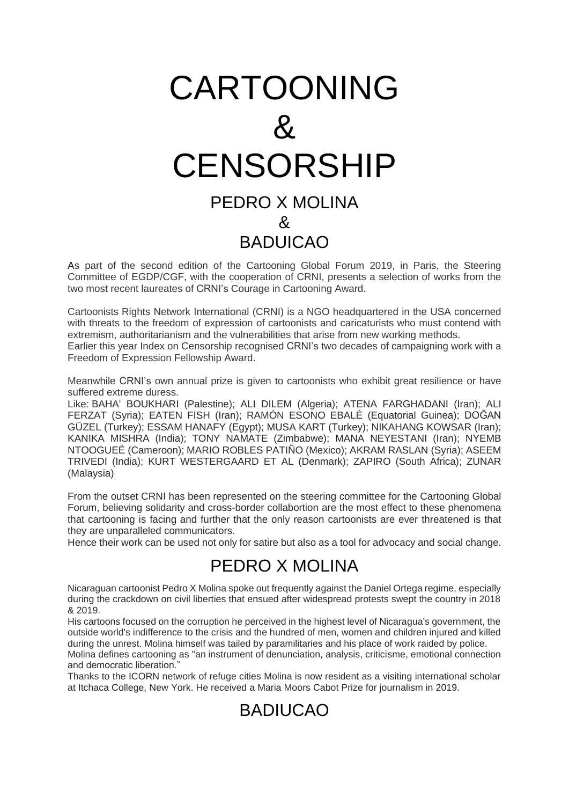## CARTOONING  $\mathcal{R}$ **CENSORSHIP** PEDRO X MOLINA & **BADUICAO**

As part of the second edition of the Cartooning Global Forum 2019, in Paris, the Steering Committee of EGDP/CGF, with the cooperation of CRNI, presents a selection of works from the two most recent laureates of CRNI's Courage in Cartooning Award.

Cartoonists Rights Network International (CRNI) is a NGO headquartered in the USA concerned with threats to the freedom of expression of cartoonists and caricaturists who must contend with extremism, authoritarianism and the vulnerabilities that arise from new working methods. Earlier this year Index on Censorship recognised CRNI's two decades of campaigning work with a Freedom of Expression Fellowship Award.

Meanwhile CRNI's own annual prize is given to cartoonists who exhibit great resilience or have suffered extreme duress.

Like: BAHA' BOUKHARI (Palestine); ALI DILEM (Algeria); ATENA FARGHADANI (Iran); ALI FERZAT (Syria); EATEN FISH (Iran); RAMÓN ESONO EBALÉ (Equatorial Guinea); DOĞAN GÜZEL (Turkey); ESSAM HANAFY (Egypt); MUSA KART (Turkey); NIKAHANG KOWSAR (Iran); KANIKA MISHRA (India); TONY NAMATE (Zimbabwe); MANA NEYESTANI (Iran); NYEMB NTOOGUEÉ (Cameroon); MARIO ROBLES PATIÑO (Mexico); AKRAM RASLAN (Syria); ASEEM TRIVEDI (India); KURT WESTERGAARD ET AL (Denmark); ZAPIRO (South Africa); ZUNAR (Malaysia)

From the outset CRNI has been represented on the steering committee for the Cartooning Global Forum, believing solidarity and cross-border collabortion are the most effect to these phenomena that cartooning is facing and further that the only reason cartoonists are ever threatened is that they are unparalleled communicators.

Hence their work can be used not only for satire but also as a tool for advocacy and social change.

## PEDRO X MOLINA

Nicaraguan cartoonist Pedro X Molina spoke out frequently against the Daniel Ortega regime, especially during the crackdown on civil liberties that ensued after widespread protests swept the country in 2018 & 2019.

His cartoons focused on the corruption he perceived in the highest level of Nicaragua's government, the outside world's indifference to the crisis and the hundred of men, women and children injured and killed during the unrest. Molina himself was tailed by paramilitaries and his place of work raided by police.

Molina defines cartooning as "an instrument of denunciation, analysis, criticisme, emotional connection and democratic liberation."

Thanks to the ICORN network of refuge cities Molina is now resident as a visiting international scholar at Itchaca College, New York. He received a Maria Moors Cabot Prize for journalism in 2019.

## BADIUCAO